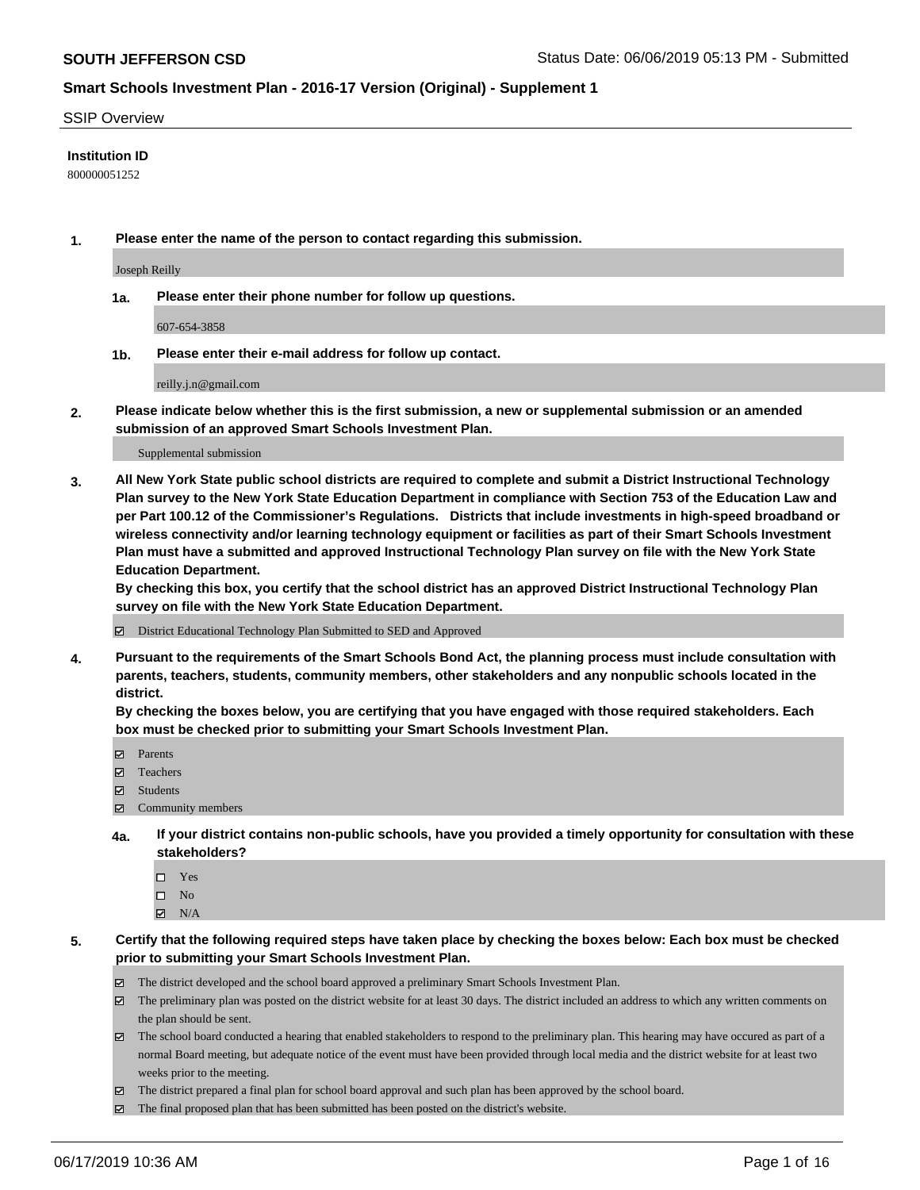#### SSIP Overview

#### **Institution ID**

800000051252

**1. Please enter the name of the person to contact regarding this submission.**

Joseph Reilly

**1a. Please enter their phone number for follow up questions.**

607-654-3858

**1b. Please enter their e-mail address for follow up contact.**

reilly.j.n@gmail.com

**2. Please indicate below whether this is the first submission, a new or supplemental submission or an amended submission of an approved Smart Schools Investment Plan.**

#### Supplemental submission

**3. All New York State public school districts are required to complete and submit a District Instructional Technology Plan survey to the New York State Education Department in compliance with Section 753 of the Education Law and per Part 100.12 of the Commissioner's Regulations. Districts that include investments in high-speed broadband or wireless connectivity and/or learning technology equipment or facilities as part of their Smart Schools Investment Plan must have a submitted and approved Instructional Technology Plan survey on file with the New York State Education Department.** 

**By checking this box, you certify that the school district has an approved District Instructional Technology Plan survey on file with the New York State Education Department.**

District Educational Technology Plan Submitted to SED and Approved

**4. Pursuant to the requirements of the Smart Schools Bond Act, the planning process must include consultation with parents, teachers, students, community members, other stakeholders and any nonpublic schools located in the district.** 

**By checking the boxes below, you are certifying that you have engaged with those required stakeholders. Each box must be checked prior to submitting your Smart Schools Investment Plan.**

- Parents
- Teachers
- Students
- Community members
- **4a. If your district contains non-public schools, have you provided a timely opportunity for consultation with these stakeholders?**
	- □ Yes
	- $\square$  No
	- $N/A$
- **5. Certify that the following required steps have taken place by checking the boxes below: Each box must be checked prior to submitting your Smart Schools Investment Plan.**
	- The district developed and the school board approved a preliminary Smart Schools Investment Plan.
	- $\boxtimes$  The preliminary plan was posted on the district website for at least 30 days. The district included an address to which any written comments on the plan should be sent.
	- $\boxtimes$  The school board conducted a hearing that enabled stakeholders to respond to the preliminary plan. This hearing may have occured as part of a normal Board meeting, but adequate notice of the event must have been provided through local media and the district website for at least two weeks prior to the meeting.
	- The district prepared a final plan for school board approval and such plan has been approved by the school board.
	- $\boxtimes$  The final proposed plan that has been submitted has been posted on the district's website.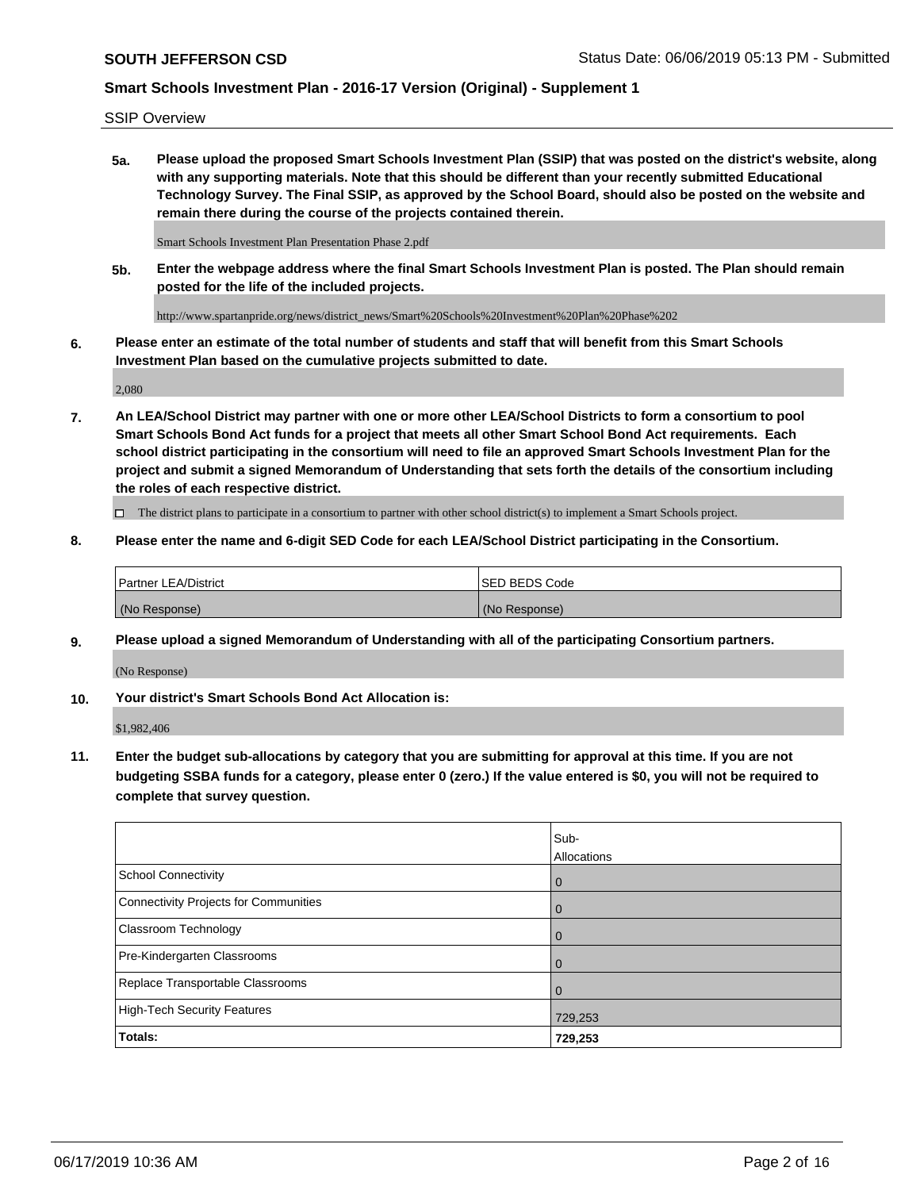SSIP Overview

**5a. Please upload the proposed Smart Schools Investment Plan (SSIP) that was posted on the district's website, along with any supporting materials. Note that this should be different than your recently submitted Educational Technology Survey. The Final SSIP, as approved by the School Board, should also be posted on the website and remain there during the course of the projects contained therein.**

Smart Schools Investment Plan Presentation Phase 2.pdf

**5b. Enter the webpage address where the final Smart Schools Investment Plan is posted. The Plan should remain posted for the life of the included projects.**

http://www.spartanpride.org/news/district\_news/Smart%20Schools%20Investment%20Plan%20Phase%202

**6. Please enter an estimate of the total number of students and staff that will benefit from this Smart Schools Investment Plan based on the cumulative projects submitted to date.**

2,080

**7. An LEA/School District may partner with one or more other LEA/School Districts to form a consortium to pool Smart Schools Bond Act funds for a project that meets all other Smart School Bond Act requirements. Each school district participating in the consortium will need to file an approved Smart Schools Investment Plan for the project and submit a signed Memorandum of Understanding that sets forth the details of the consortium including the roles of each respective district.**

 $\Box$  The district plans to participate in a consortium to partner with other school district(s) to implement a Smart Schools project.

#### **8. Please enter the name and 6-digit SED Code for each LEA/School District participating in the Consortium.**

| Partner LEA/District | <b>ISED BEDS Code</b> |
|----------------------|-----------------------|
| (No Response)        | (No Response)         |

#### **9. Please upload a signed Memorandum of Understanding with all of the participating Consortium partners.**

(No Response)

**10. Your district's Smart Schools Bond Act Allocation is:**

\$1,982,406

**11. Enter the budget sub-allocations by category that you are submitting for approval at this time. If you are not budgeting SSBA funds for a category, please enter 0 (zero.) If the value entered is \$0, you will not be required to complete that survey question.**

|                                       | Sub-<br>Allocations |
|---------------------------------------|---------------------|
| School Connectivity                   | $\mathbf 0$         |
| Connectivity Projects for Communities | $\overline{0}$      |
| <b>Classroom Technology</b>           | $\Omega$            |
| Pre-Kindergarten Classrooms           | $\Omega$            |
| Replace Transportable Classrooms      |                     |
| High-Tech Security Features           | 729,253             |
| Totals:                               | 729,253             |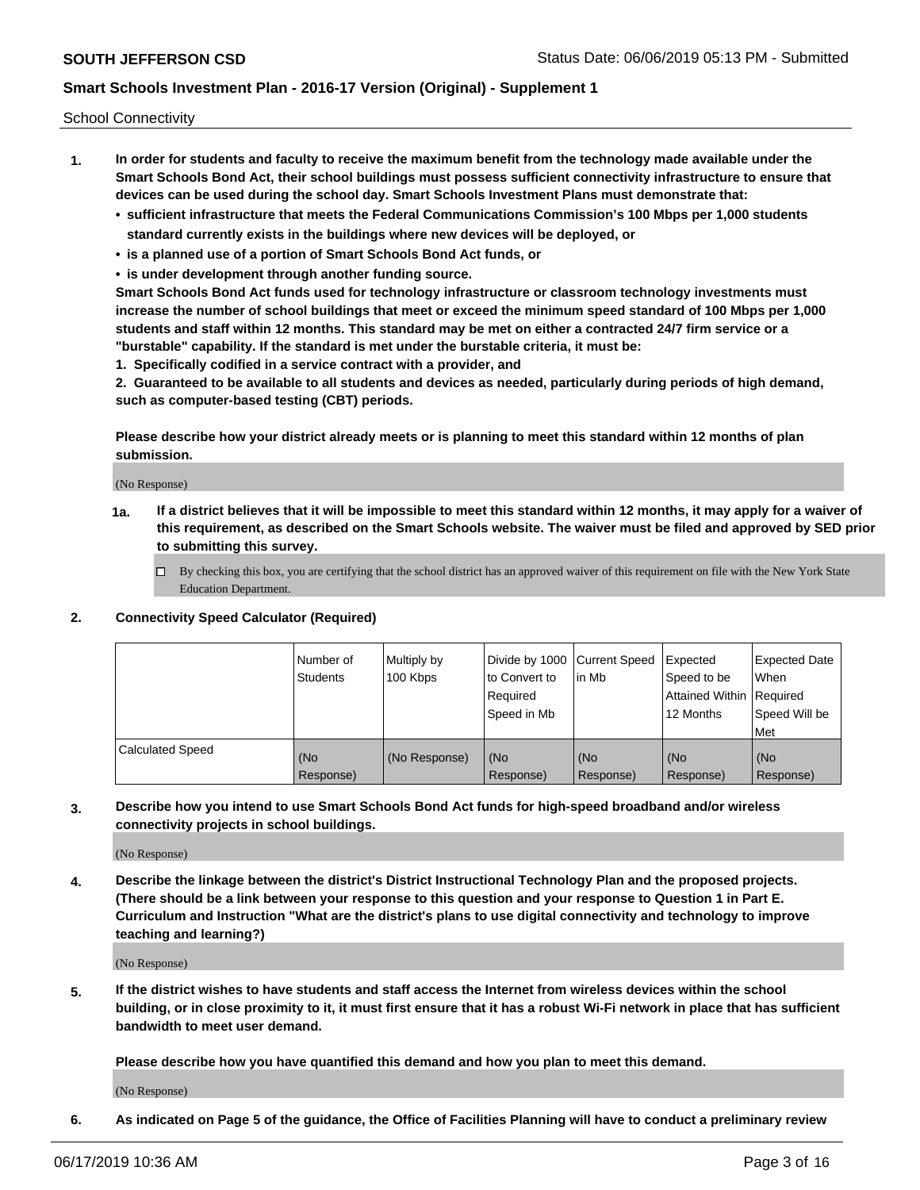School Connectivity

- **1. In order for students and faculty to receive the maximum benefit from the technology made available under the Smart Schools Bond Act, their school buildings must possess sufficient connectivity infrastructure to ensure that devices can be used during the school day. Smart Schools Investment Plans must demonstrate that:**
	- **• sufficient infrastructure that meets the Federal Communications Commission's 100 Mbps per 1,000 students standard currently exists in the buildings where new devices will be deployed, or**
	- **• is a planned use of a portion of Smart Schools Bond Act funds, or**
	- **• is under development through another funding source.**

**Smart Schools Bond Act funds used for technology infrastructure or classroom technology investments must increase the number of school buildings that meet or exceed the minimum speed standard of 100 Mbps per 1,000 students and staff within 12 months. This standard may be met on either a contracted 24/7 firm service or a "burstable" capability. If the standard is met under the burstable criteria, it must be:**

**1. Specifically codified in a service contract with a provider, and**

**2. Guaranteed to be available to all students and devices as needed, particularly during periods of high demand, such as computer-based testing (CBT) periods.**

**Please describe how your district already meets or is planning to meet this standard within 12 months of plan submission.**

(No Response)

**1a. If a district believes that it will be impossible to meet this standard within 12 months, it may apply for a waiver of this requirement, as described on the Smart Schools website. The waiver must be filed and approved by SED prior to submitting this survey.**

 $\Box$  By checking this box, you are certifying that the school district has an approved waiver of this requirement on file with the New York State Education Department.

#### **2. Connectivity Speed Calculator (Required)**

|                         | l Number of<br><b>Students</b> | Multiply by<br>100 Kbps | Divide by 1000 Current Speed<br>to Convert to<br>Required<br>l Speed in Mb | lin Mb           | Expected<br>Speed to be<br>Attained Within   Required<br>12 Months | <b>Expected Date</b><br>When<br>Speed Will be<br>Met |
|-------------------------|--------------------------------|-------------------------|----------------------------------------------------------------------------|------------------|--------------------------------------------------------------------|------------------------------------------------------|
| <b>Calculated Speed</b> | (No<br>Response)               | (No Response)           | (No<br>Response)                                                           | (No<br>Response) | (No<br>Response)                                                   | (No<br>Response)                                     |

**3. Describe how you intend to use Smart Schools Bond Act funds for high-speed broadband and/or wireless connectivity projects in school buildings.**

(No Response)

**4. Describe the linkage between the district's District Instructional Technology Plan and the proposed projects. (There should be a link between your response to this question and your response to Question 1 in Part E. Curriculum and Instruction "What are the district's plans to use digital connectivity and technology to improve teaching and learning?)**

(No Response)

**5. If the district wishes to have students and staff access the Internet from wireless devices within the school building, or in close proximity to it, it must first ensure that it has a robust Wi-Fi network in place that has sufficient bandwidth to meet user demand.**

**Please describe how you have quantified this demand and how you plan to meet this demand.**

(No Response)

**6. As indicated on Page 5 of the guidance, the Office of Facilities Planning will have to conduct a preliminary review**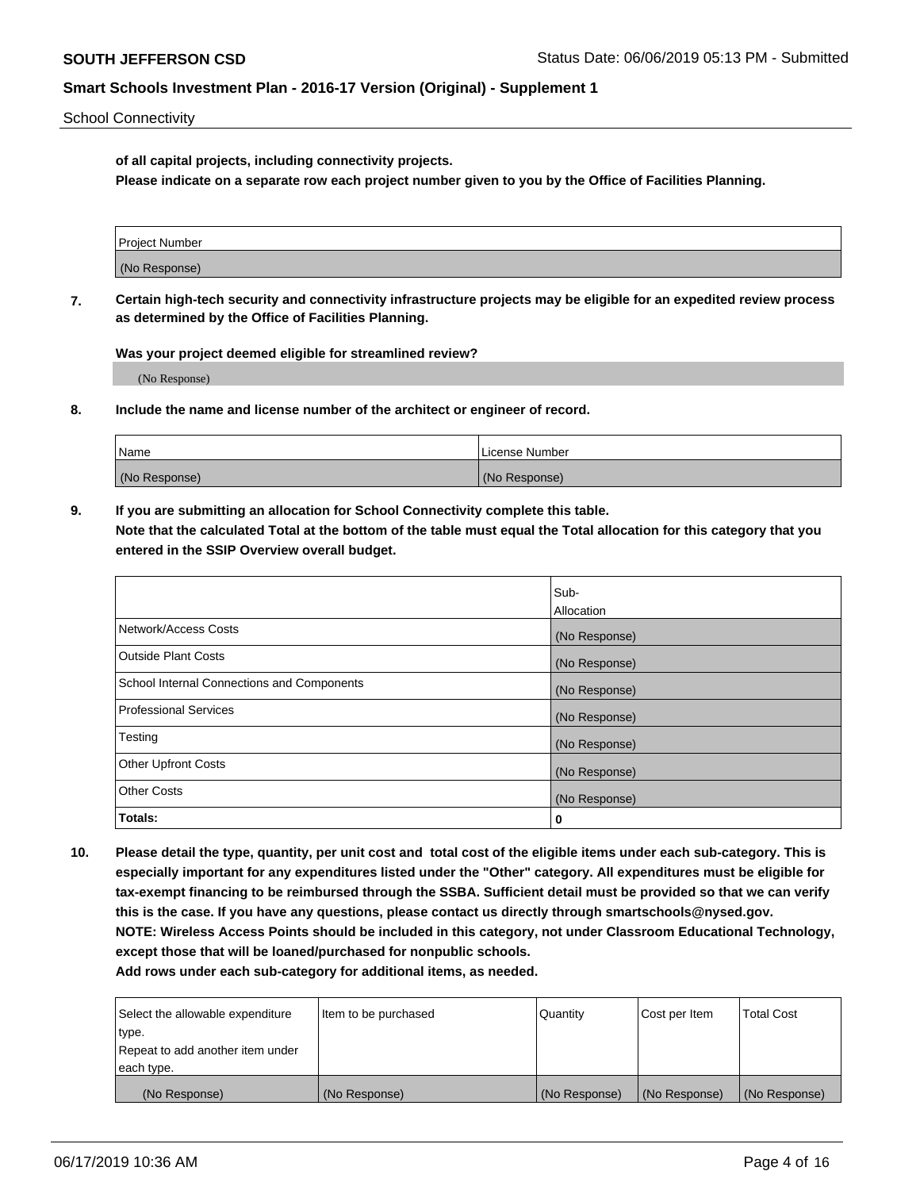School Connectivity

**of all capital projects, including connectivity projects.**

**Please indicate on a separate row each project number given to you by the Office of Facilities Planning.**

| Project Number |  |
|----------------|--|
|                |  |
| (No Response)  |  |
|                |  |

**7. Certain high-tech security and connectivity infrastructure projects may be eligible for an expedited review process as determined by the Office of Facilities Planning.**

**Was your project deemed eligible for streamlined review?**

(No Response)

**8. Include the name and license number of the architect or engineer of record.**

| Name          | License Number |
|---------------|----------------|
| (No Response) | (No Response)  |

**9. If you are submitting an allocation for School Connectivity complete this table. Note that the calculated Total at the bottom of the table must equal the Total allocation for this category that you entered in the SSIP Overview overall budget.** 

|                                            | Sub-          |
|--------------------------------------------|---------------|
|                                            | Allocation    |
| Network/Access Costs                       | (No Response) |
| Outside Plant Costs                        | (No Response) |
| School Internal Connections and Components | (No Response) |
| <b>Professional Services</b>               | (No Response) |
| Testing                                    | (No Response) |
| <b>Other Upfront Costs</b>                 | (No Response) |
| <b>Other Costs</b>                         | (No Response) |
| Totals:                                    | 0             |

**10. Please detail the type, quantity, per unit cost and total cost of the eligible items under each sub-category. This is especially important for any expenditures listed under the "Other" category. All expenditures must be eligible for tax-exempt financing to be reimbursed through the SSBA. Sufficient detail must be provided so that we can verify this is the case. If you have any questions, please contact us directly through smartschools@nysed.gov. NOTE: Wireless Access Points should be included in this category, not under Classroom Educational Technology, except those that will be loaned/purchased for nonpublic schools.**

| Select the allowable expenditure | Item to be purchased | Quantity      | <b>Cost per Item</b> | <b>Total Cost</b> |
|----------------------------------|----------------------|---------------|----------------------|-------------------|
| type.                            |                      |               |                      |                   |
| Repeat to add another item under |                      |               |                      |                   |
| each type.                       |                      |               |                      |                   |
| (No Response)                    | (No Response)        | (No Response) | (No Response)        | (No Response)     |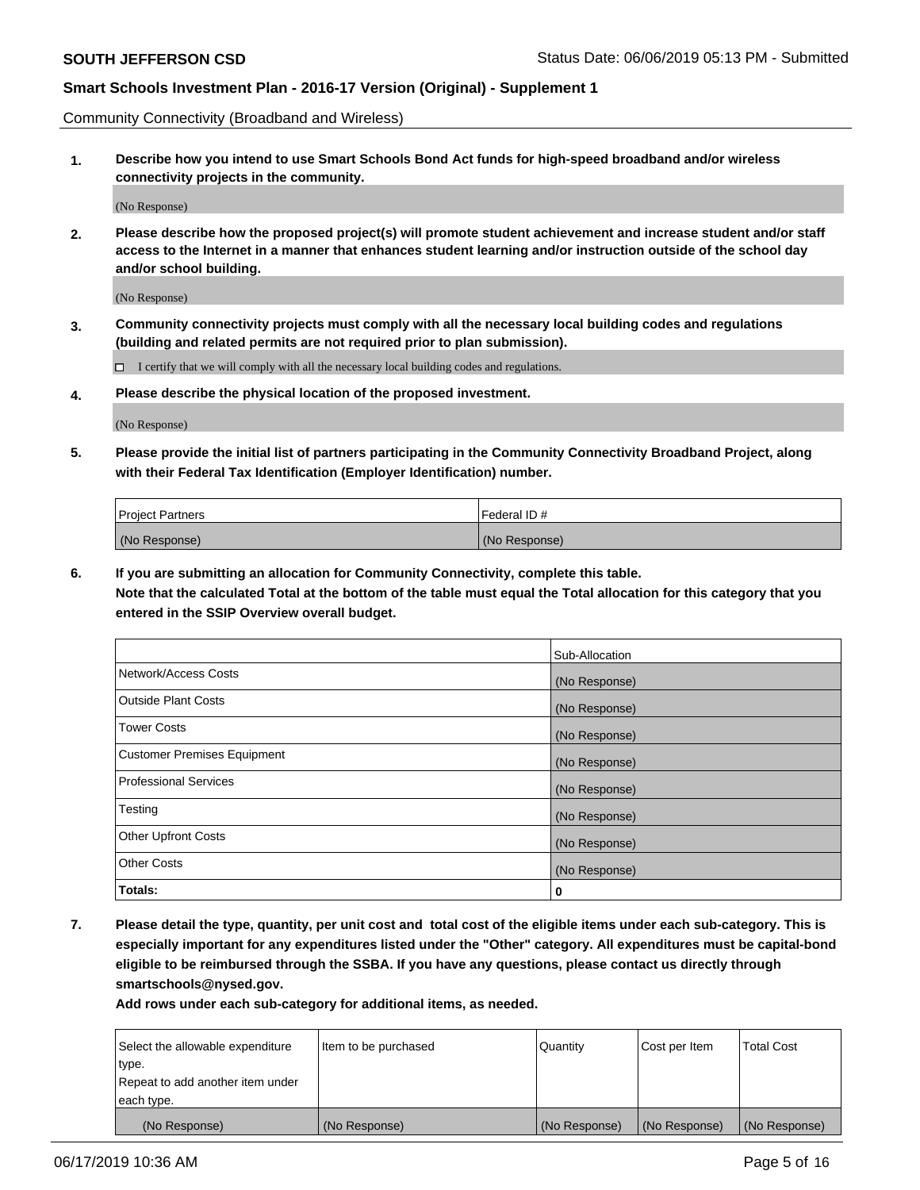Community Connectivity (Broadband and Wireless)

**1. Describe how you intend to use Smart Schools Bond Act funds for high-speed broadband and/or wireless connectivity projects in the community.**

(No Response)

**2. Please describe how the proposed project(s) will promote student achievement and increase student and/or staff access to the Internet in a manner that enhances student learning and/or instruction outside of the school day and/or school building.**

(No Response)

**3. Community connectivity projects must comply with all the necessary local building codes and regulations (building and related permits are not required prior to plan submission).**

 $\Box$  I certify that we will comply with all the necessary local building codes and regulations.

**4. Please describe the physical location of the proposed investment.**

(No Response)

**5. Please provide the initial list of partners participating in the Community Connectivity Broadband Project, along with their Federal Tax Identification (Employer Identification) number.**

| <b>Project Partners</b> | Federal ID#   |
|-------------------------|---------------|
| (No Response)           | (No Response) |

**6. If you are submitting an allocation for Community Connectivity, complete this table.**

**Note that the calculated Total at the bottom of the table must equal the Total allocation for this category that you entered in the SSIP Overview overall budget.**

|                             | Sub-Allocation |
|-----------------------------|----------------|
| Network/Access Costs        | (No Response)  |
| <b>Outside Plant Costs</b>  | (No Response)  |
| <b>Tower Costs</b>          | (No Response)  |
| Customer Premises Equipment | (No Response)  |
| Professional Services       | (No Response)  |
| Testing                     | (No Response)  |
| <b>Other Upfront Costs</b>  | (No Response)  |
| <b>Other Costs</b>          | (No Response)  |
| Totals:                     | 0              |

**7. Please detail the type, quantity, per unit cost and total cost of the eligible items under each sub-category. This is especially important for any expenditures listed under the "Other" category. All expenditures must be capital-bond eligible to be reimbursed through the SSBA. If you have any questions, please contact us directly through smartschools@nysed.gov.**

| Select the allowable expenditure<br>type. | Item to be purchased | Quantity      | Cost per Item | <b>Total Cost</b> |
|-------------------------------------------|----------------------|---------------|---------------|-------------------|
| Repeat to add another item under          |                      |               |               |                   |
| each type.                                |                      |               |               |                   |
| (No Response)                             | (No Response)        | (No Response) | (No Response) | (No Response)     |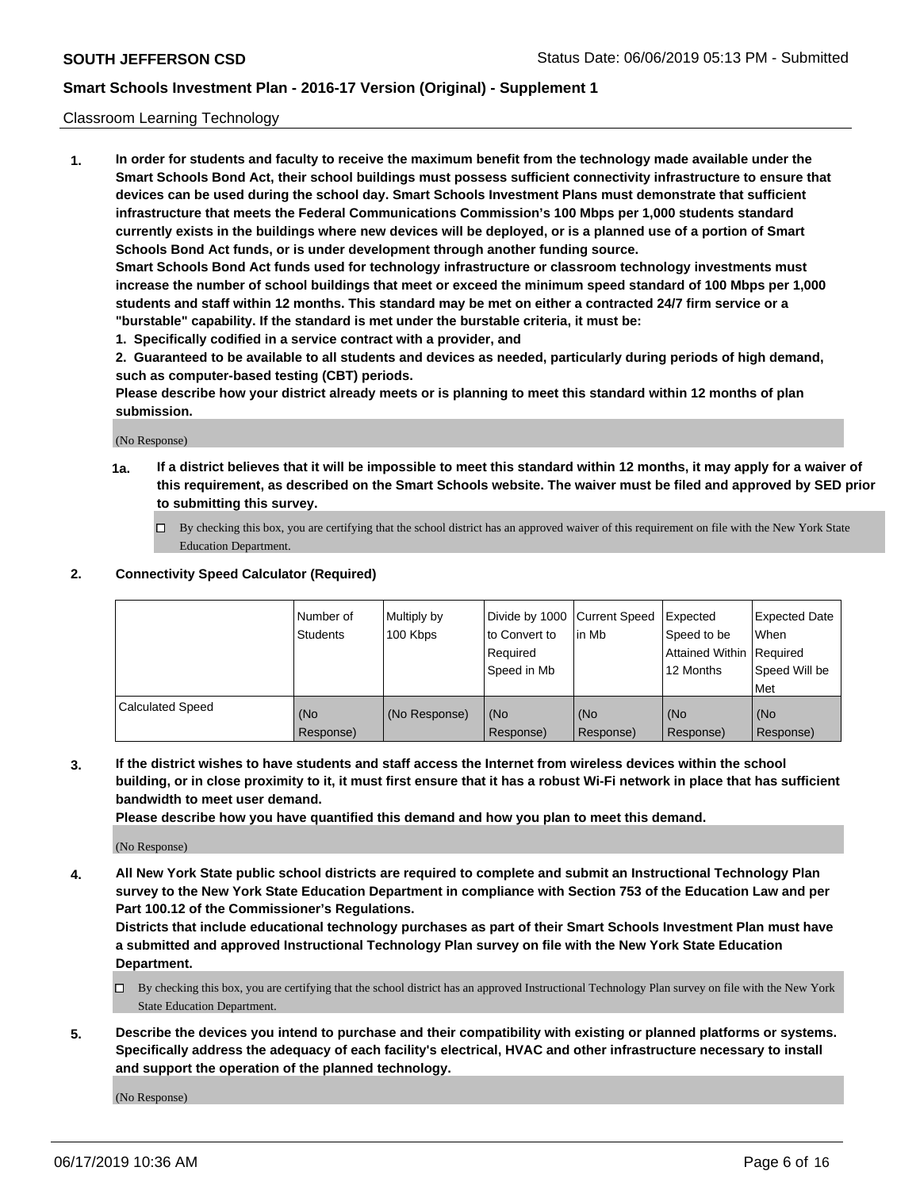#### Classroom Learning Technology

**1. In order for students and faculty to receive the maximum benefit from the technology made available under the Smart Schools Bond Act, their school buildings must possess sufficient connectivity infrastructure to ensure that devices can be used during the school day. Smart Schools Investment Plans must demonstrate that sufficient infrastructure that meets the Federal Communications Commission's 100 Mbps per 1,000 students standard currently exists in the buildings where new devices will be deployed, or is a planned use of a portion of Smart Schools Bond Act funds, or is under development through another funding source. Smart Schools Bond Act funds used for technology infrastructure or classroom technology investments must increase the number of school buildings that meet or exceed the minimum speed standard of 100 Mbps per 1,000**

**students and staff within 12 months. This standard may be met on either a contracted 24/7 firm service or a "burstable" capability. If the standard is met under the burstable criteria, it must be:**

**1. Specifically codified in a service contract with a provider, and**

**2. Guaranteed to be available to all students and devices as needed, particularly during periods of high demand, such as computer-based testing (CBT) periods.**

**Please describe how your district already meets or is planning to meet this standard within 12 months of plan submission.**

(No Response)

- **1a. If a district believes that it will be impossible to meet this standard within 12 months, it may apply for a waiver of this requirement, as described on the Smart Schools website. The waiver must be filed and approved by SED prior to submitting this survey.**
	- By checking this box, you are certifying that the school district has an approved waiver of this requirement on file with the New York State Education Department.

#### **2. Connectivity Speed Calculator (Required)**

|                         | l Number of<br>Students | Multiply by<br>100 Kbps | to Convert to<br>Required<br>Speed in Mb | Divide by 1000 Current Speed Expected<br>l in Mb | Speed to be<br>Attained Within Required<br>12 Months | <b>Expected Date</b><br>When<br>Speed Will be<br>Met |
|-------------------------|-------------------------|-------------------------|------------------------------------------|--------------------------------------------------|------------------------------------------------------|------------------------------------------------------|
| <b>Calculated Speed</b> | (No<br>Response)        | (No Response)           | (No<br>Response)                         | (No<br>Response)                                 | (No<br>Response)                                     | (No<br>Response)                                     |

**3. If the district wishes to have students and staff access the Internet from wireless devices within the school building, or in close proximity to it, it must first ensure that it has a robust Wi-Fi network in place that has sufficient bandwidth to meet user demand.**

**Please describe how you have quantified this demand and how you plan to meet this demand.**

(No Response)

**4. All New York State public school districts are required to complete and submit an Instructional Technology Plan survey to the New York State Education Department in compliance with Section 753 of the Education Law and per Part 100.12 of the Commissioner's Regulations.**

**Districts that include educational technology purchases as part of their Smart Schools Investment Plan must have a submitted and approved Instructional Technology Plan survey on file with the New York State Education Department.**

- $\Box$  By checking this box, you are certifying that the school district has an approved Instructional Technology Plan survey on file with the New York State Education Department.
- **5. Describe the devices you intend to purchase and their compatibility with existing or planned platforms or systems. Specifically address the adequacy of each facility's electrical, HVAC and other infrastructure necessary to install and support the operation of the planned technology.**

(No Response)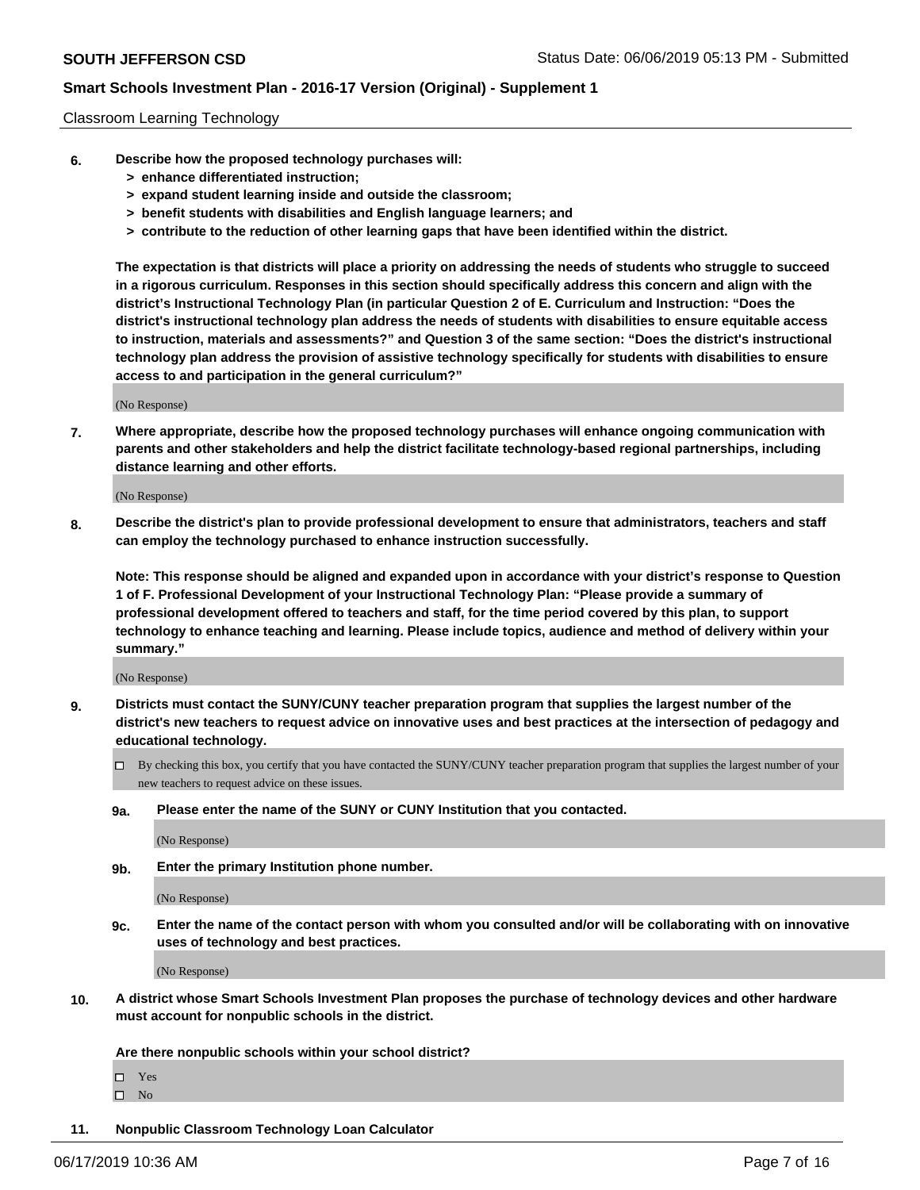#### Classroom Learning Technology

- **6. Describe how the proposed technology purchases will:**
	- **> enhance differentiated instruction;**
	- **> expand student learning inside and outside the classroom;**
	- **> benefit students with disabilities and English language learners; and**
	- **> contribute to the reduction of other learning gaps that have been identified within the district.**

**The expectation is that districts will place a priority on addressing the needs of students who struggle to succeed in a rigorous curriculum. Responses in this section should specifically address this concern and align with the district's Instructional Technology Plan (in particular Question 2 of E. Curriculum and Instruction: "Does the district's instructional technology plan address the needs of students with disabilities to ensure equitable access to instruction, materials and assessments?" and Question 3 of the same section: "Does the district's instructional technology plan address the provision of assistive technology specifically for students with disabilities to ensure access to and participation in the general curriculum?"**

(No Response)

**7. Where appropriate, describe how the proposed technology purchases will enhance ongoing communication with parents and other stakeholders and help the district facilitate technology-based regional partnerships, including distance learning and other efforts.**

(No Response)

**8. Describe the district's plan to provide professional development to ensure that administrators, teachers and staff can employ the technology purchased to enhance instruction successfully.**

**Note: This response should be aligned and expanded upon in accordance with your district's response to Question 1 of F. Professional Development of your Instructional Technology Plan: "Please provide a summary of professional development offered to teachers and staff, for the time period covered by this plan, to support technology to enhance teaching and learning. Please include topics, audience and method of delivery within your summary."**

(No Response)

- **9. Districts must contact the SUNY/CUNY teacher preparation program that supplies the largest number of the district's new teachers to request advice on innovative uses and best practices at the intersection of pedagogy and educational technology.**
	- By checking this box, you certify that you have contacted the SUNY/CUNY teacher preparation program that supplies the largest number of your new teachers to request advice on these issues.
	- **9a. Please enter the name of the SUNY or CUNY Institution that you contacted.**

(No Response)

**9b. Enter the primary Institution phone number.**

(No Response)

**9c. Enter the name of the contact person with whom you consulted and/or will be collaborating with on innovative uses of technology and best practices.**

(No Response)

**10. A district whose Smart Schools Investment Plan proposes the purchase of technology devices and other hardware must account for nonpublic schools in the district.**

**Are there nonpublic schools within your school district?**

Yes

 $\square$  No

**11. Nonpublic Classroom Technology Loan Calculator**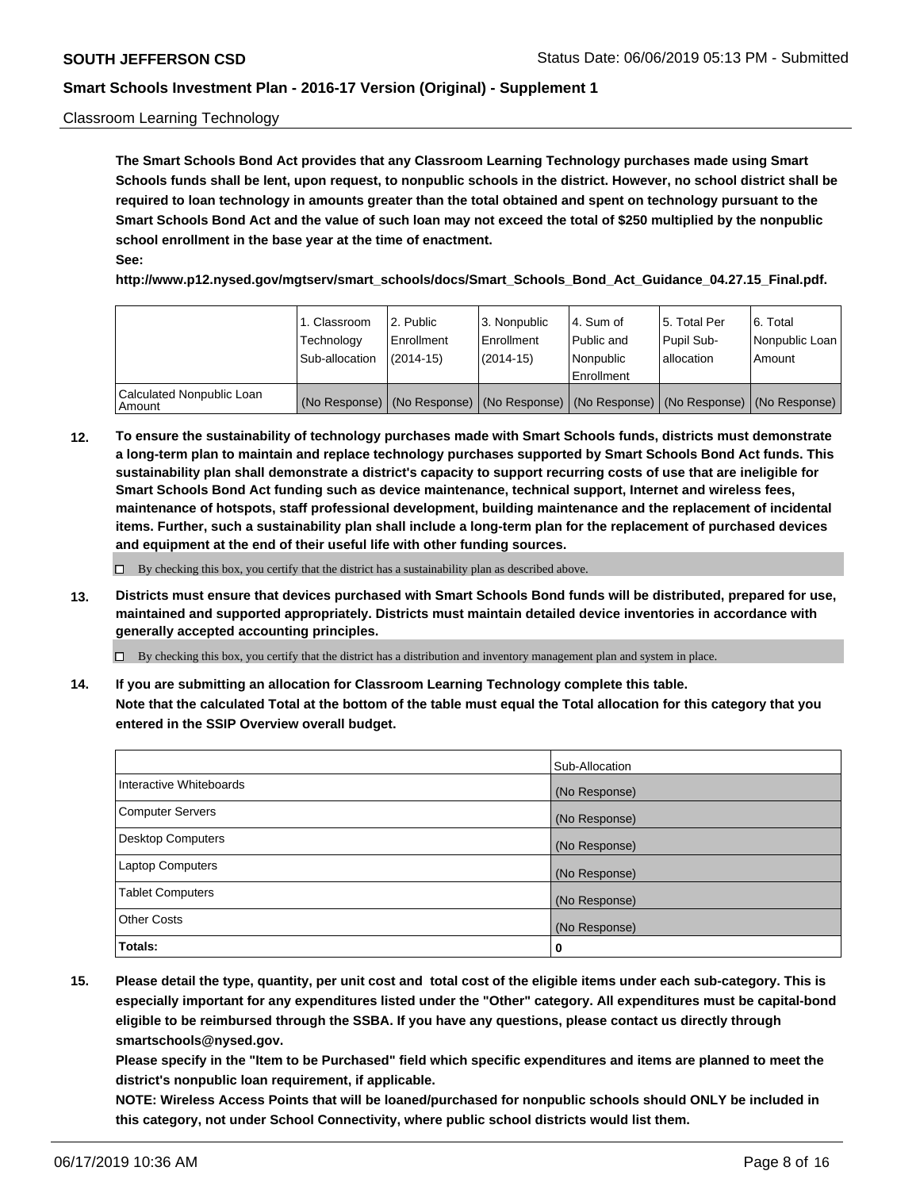#### Classroom Learning Technology

**The Smart Schools Bond Act provides that any Classroom Learning Technology purchases made using Smart Schools funds shall be lent, upon request, to nonpublic schools in the district. However, no school district shall be required to loan technology in amounts greater than the total obtained and spent on technology pursuant to the Smart Schools Bond Act and the value of such loan may not exceed the total of \$250 multiplied by the nonpublic school enrollment in the base year at the time of enactment. See:**

**http://www.p12.nysed.gov/mgtserv/smart\_schools/docs/Smart\_Schools\_Bond\_Act\_Guidance\_04.27.15\_Final.pdf.**

|                                       | 1. Classroom<br>Technology<br>Sub-allocation | 2. Public<br>l Enrollment<br>(2014-15) | l 3. Nonpublic<br>l Enrollment<br>$(2014 - 15)$ | l 4. Sum of<br>l Public and<br>l Nonpublic<br>Enrollment                                      | 15. Total Per<br>Pupil Sub-<br>l allocation | l 6. Total<br>Nonpublic Loan<br>Amount |
|---------------------------------------|----------------------------------------------|----------------------------------------|-------------------------------------------------|-----------------------------------------------------------------------------------------------|---------------------------------------------|----------------------------------------|
| Calculated Nonpublic Loan<br>l Amount |                                              |                                        |                                                 | (No Response)   (No Response)   (No Response)   (No Response)   (No Response)   (No Response) |                                             |                                        |

**12. To ensure the sustainability of technology purchases made with Smart Schools funds, districts must demonstrate a long-term plan to maintain and replace technology purchases supported by Smart Schools Bond Act funds. This sustainability plan shall demonstrate a district's capacity to support recurring costs of use that are ineligible for Smart Schools Bond Act funding such as device maintenance, technical support, Internet and wireless fees, maintenance of hotspots, staff professional development, building maintenance and the replacement of incidental items. Further, such a sustainability plan shall include a long-term plan for the replacement of purchased devices and equipment at the end of their useful life with other funding sources.**

 $\Box$  By checking this box, you certify that the district has a sustainability plan as described above.

**13. Districts must ensure that devices purchased with Smart Schools Bond funds will be distributed, prepared for use, maintained and supported appropriately. Districts must maintain detailed device inventories in accordance with generally accepted accounting principles.**

By checking this box, you certify that the district has a distribution and inventory management plan and system in place.

**14. If you are submitting an allocation for Classroom Learning Technology complete this table. Note that the calculated Total at the bottom of the table must equal the Total allocation for this category that you entered in the SSIP Overview overall budget.**

|                          | Sub-Allocation |
|--------------------------|----------------|
| Interactive Whiteboards  | (No Response)  |
| <b>Computer Servers</b>  | (No Response)  |
| <b>Desktop Computers</b> | (No Response)  |
| <b>Laptop Computers</b>  | (No Response)  |
| <b>Tablet Computers</b>  | (No Response)  |
| <b>Other Costs</b>       | (No Response)  |
| Totals:                  | 0              |

**15. Please detail the type, quantity, per unit cost and total cost of the eligible items under each sub-category. This is especially important for any expenditures listed under the "Other" category. All expenditures must be capital-bond eligible to be reimbursed through the SSBA. If you have any questions, please contact us directly through smartschools@nysed.gov.**

**Please specify in the "Item to be Purchased" field which specific expenditures and items are planned to meet the district's nonpublic loan requirement, if applicable.**

**NOTE: Wireless Access Points that will be loaned/purchased for nonpublic schools should ONLY be included in this category, not under School Connectivity, where public school districts would list them.**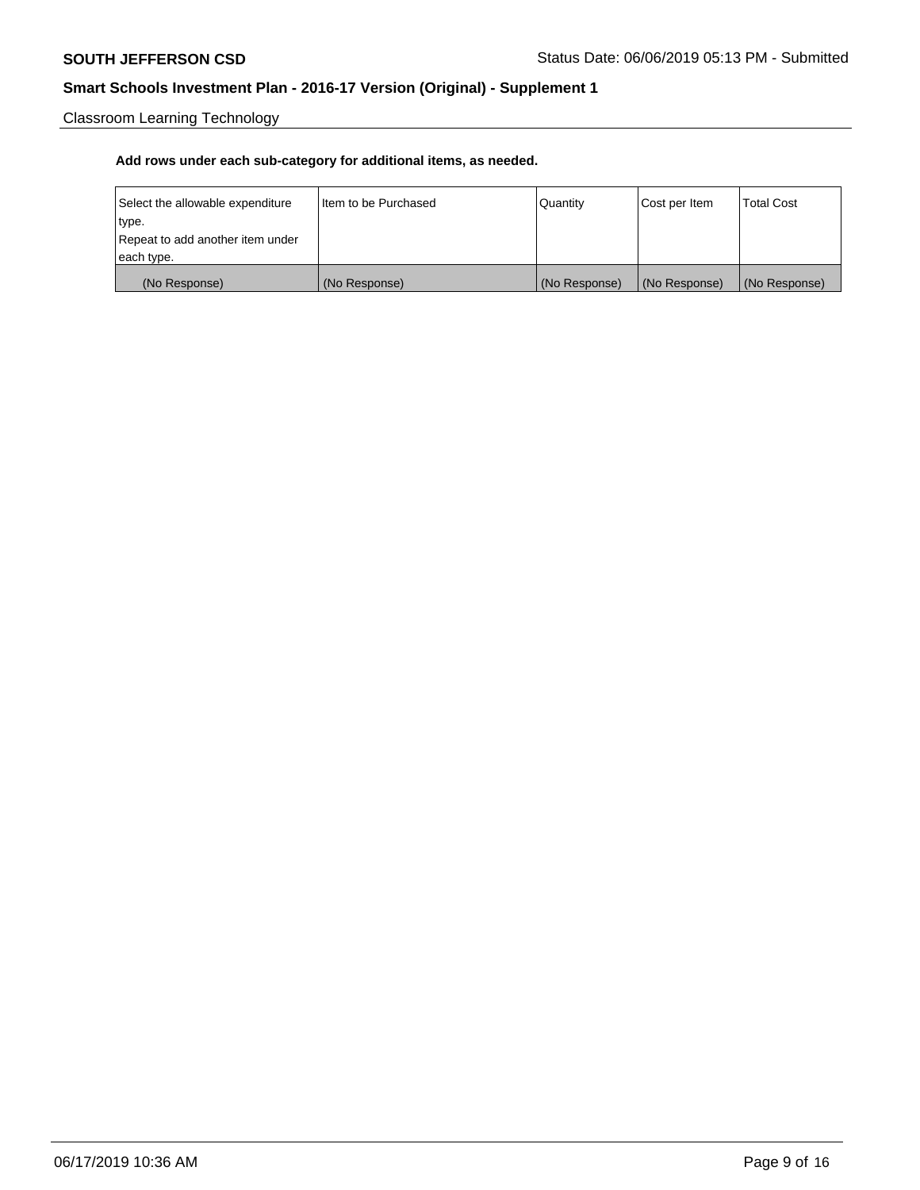Classroom Learning Technology

| Select the allowable expenditure | Iltem to be Purchased | Quantity      | Cost per Item | <b>Total Cost</b> |
|----------------------------------|-----------------------|---------------|---------------|-------------------|
| type.                            |                       |               |               |                   |
| Repeat to add another item under |                       |               |               |                   |
| each type.                       |                       |               |               |                   |
| (No Response)                    | (No Response)         | (No Response) | (No Response) | (No Response)     |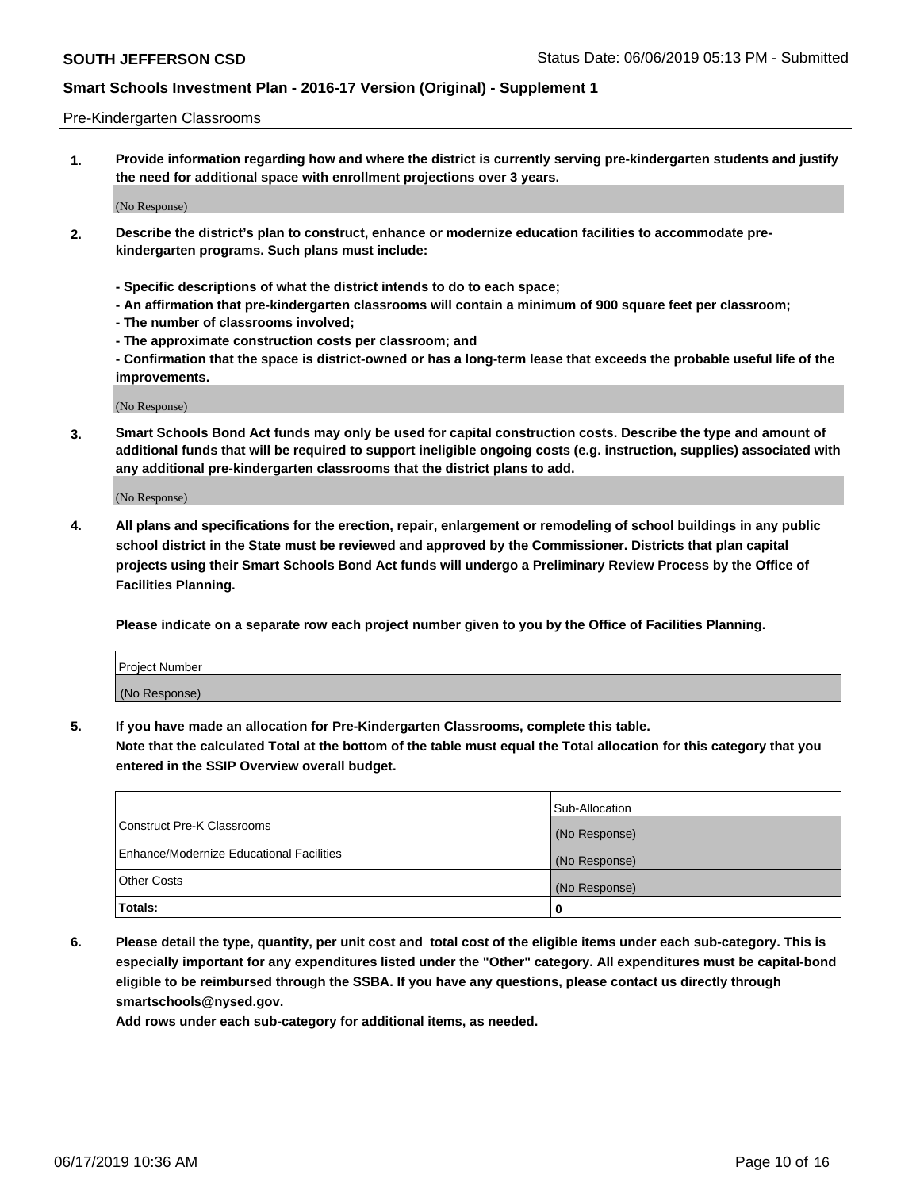#### Pre-Kindergarten Classrooms

**1. Provide information regarding how and where the district is currently serving pre-kindergarten students and justify the need for additional space with enrollment projections over 3 years.**

(No Response)

- **2. Describe the district's plan to construct, enhance or modernize education facilities to accommodate prekindergarten programs. Such plans must include:**
	- **Specific descriptions of what the district intends to do to each space;**
	- **An affirmation that pre-kindergarten classrooms will contain a minimum of 900 square feet per classroom;**
	- **The number of classrooms involved;**
	- **The approximate construction costs per classroom; and**
	- **Confirmation that the space is district-owned or has a long-term lease that exceeds the probable useful life of the improvements.**

(No Response)

**3. Smart Schools Bond Act funds may only be used for capital construction costs. Describe the type and amount of additional funds that will be required to support ineligible ongoing costs (e.g. instruction, supplies) associated with any additional pre-kindergarten classrooms that the district plans to add.**

(No Response)

**4. All plans and specifications for the erection, repair, enlargement or remodeling of school buildings in any public school district in the State must be reviewed and approved by the Commissioner. Districts that plan capital projects using their Smart Schools Bond Act funds will undergo a Preliminary Review Process by the Office of Facilities Planning.**

**Please indicate on a separate row each project number given to you by the Office of Facilities Planning.**

| Project Number |  |
|----------------|--|
| (No Response)  |  |
|                |  |

**5. If you have made an allocation for Pre-Kindergarten Classrooms, complete this table.**

**Note that the calculated Total at the bottom of the table must equal the Total allocation for this category that you entered in the SSIP Overview overall budget.**

|                                          | Sub-Allocation |
|------------------------------------------|----------------|
| Construct Pre-K Classrooms               | (No Response)  |
| Enhance/Modernize Educational Facilities | (No Response)  |
| <b>Other Costs</b>                       | (No Response)  |
| Totals:                                  | 0              |

**6. Please detail the type, quantity, per unit cost and total cost of the eligible items under each sub-category. This is especially important for any expenditures listed under the "Other" category. All expenditures must be capital-bond eligible to be reimbursed through the SSBA. If you have any questions, please contact us directly through smartschools@nysed.gov.**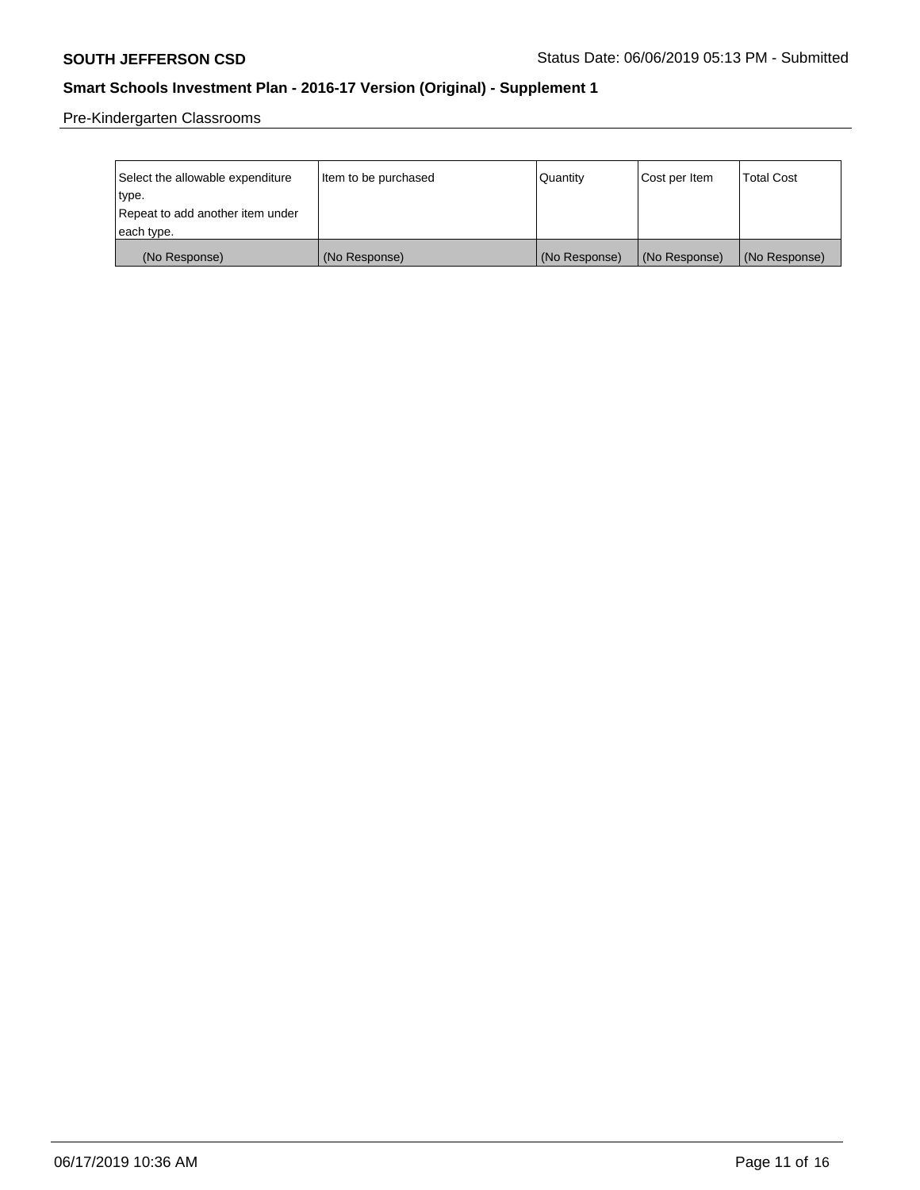Pre-Kindergarten Classrooms

| Select the allowable expenditure | Item to be purchased | Quantity      | Cost per Item | <b>Total Cost</b> |
|----------------------------------|----------------------|---------------|---------------|-------------------|
| type.                            |                      |               |               |                   |
| Repeat to add another item under |                      |               |               |                   |
| each type.                       |                      |               |               |                   |
| (No Response)                    | (No Response)        | (No Response) | (No Response) | (No Response)     |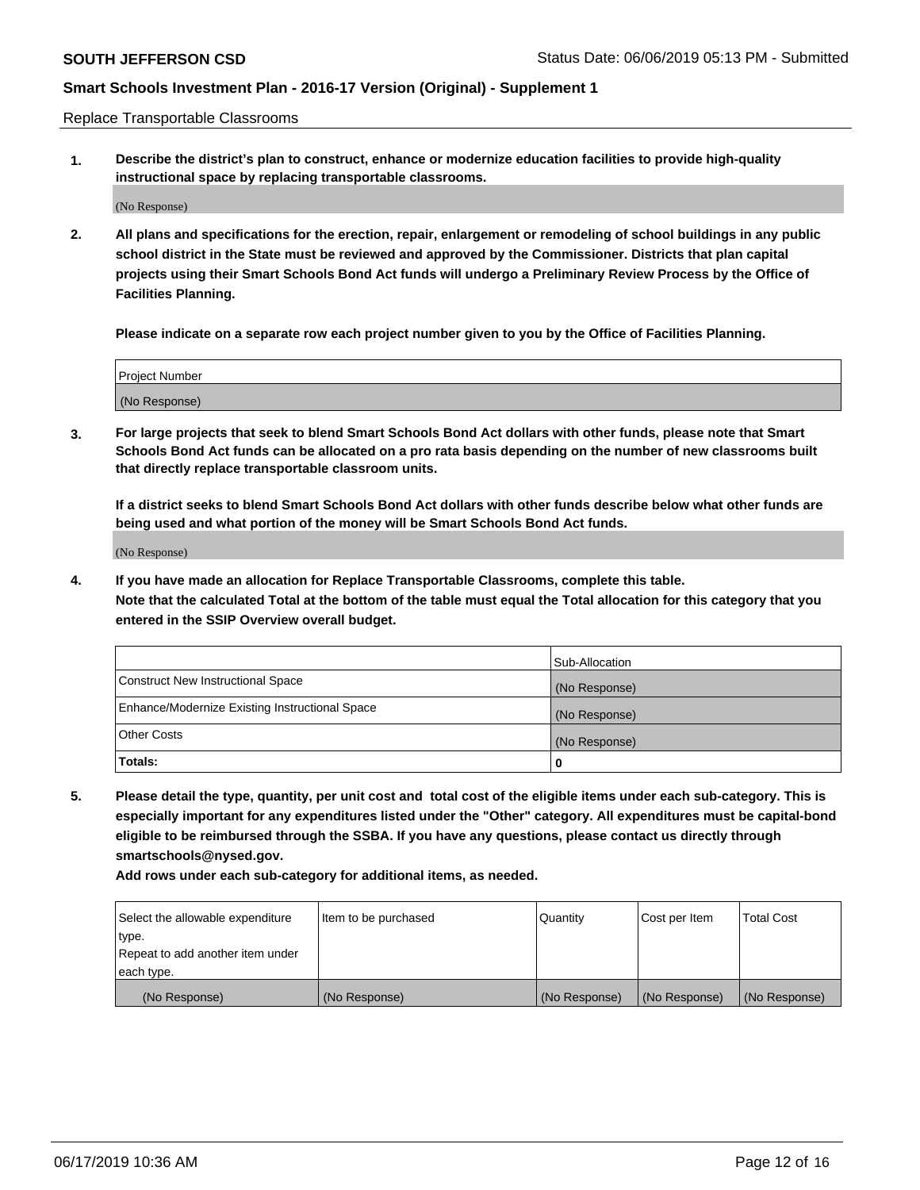Replace Transportable Classrooms

**1. Describe the district's plan to construct, enhance or modernize education facilities to provide high-quality instructional space by replacing transportable classrooms.**

(No Response)

**2. All plans and specifications for the erection, repair, enlargement or remodeling of school buildings in any public school district in the State must be reviewed and approved by the Commissioner. Districts that plan capital projects using their Smart Schools Bond Act funds will undergo a Preliminary Review Process by the Office of Facilities Planning.**

**Please indicate on a separate row each project number given to you by the Office of Facilities Planning.**

| Project Number |  |
|----------------|--|
|                |  |
| (No Response)  |  |

**3. For large projects that seek to blend Smart Schools Bond Act dollars with other funds, please note that Smart Schools Bond Act funds can be allocated on a pro rata basis depending on the number of new classrooms built that directly replace transportable classroom units.**

**If a district seeks to blend Smart Schools Bond Act dollars with other funds describe below what other funds are being used and what portion of the money will be Smart Schools Bond Act funds.**

(No Response)

**4. If you have made an allocation for Replace Transportable Classrooms, complete this table. Note that the calculated Total at the bottom of the table must equal the Total allocation for this category that you entered in the SSIP Overview overall budget.**

|                                                | Sub-Allocation |
|------------------------------------------------|----------------|
| Construct New Instructional Space              | (No Response)  |
| Enhance/Modernize Existing Instructional Space | (No Response)  |
| <b>Other Costs</b>                             | (No Response)  |
| Totals:                                        | 0              |

**5. Please detail the type, quantity, per unit cost and total cost of the eligible items under each sub-category. This is especially important for any expenditures listed under the "Other" category. All expenditures must be capital-bond eligible to be reimbursed through the SSBA. If you have any questions, please contact us directly through smartschools@nysed.gov.**

| Select the allowable expenditure | Item to be purchased | l Quantitv    | Cost per Item | <b>Total Cost</b> |
|----------------------------------|----------------------|---------------|---------------|-------------------|
| type.                            |                      |               |               |                   |
| Repeat to add another item under |                      |               |               |                   |
| each type.                       |                      |               |               |                   |
| (No Response)                    | (No Response)        | (No Response) | (No Response) | (No Response)     |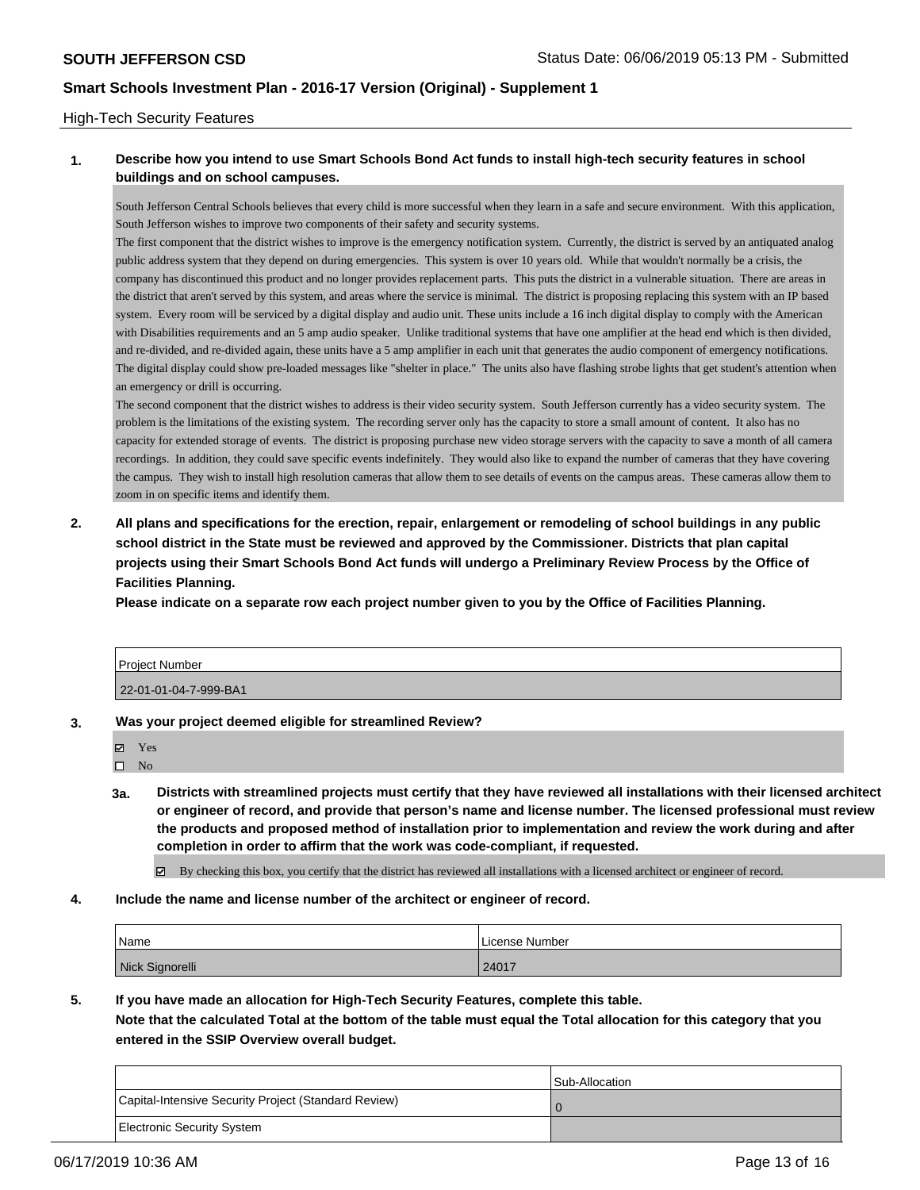#### High-Tech Security Features

### **1. Describe how you intend to use Smart Schools Bond Act funds to install high-tech security features in school buildings and on school campuses.**

South Jefferson Central Schools believes that every child is more successful when they learn in a safe and secure environment. With this application, South Jefferson wishes to improve two components of their safety and security systems.

The first component that the district wishes to improve is the emergency notification system. Currently, the district is served by an antiquated analog public address system that they depend on during emergencies. This system is over 10 years old. While that wouldn't normally be a crisis, the company has discontinued this product and no longer provides replacement parts. This puts the district in a vulnerable situation. There are areas in the district that aren't served by this system, and areas where the service is minimal. The district is proposing replacing this system with an IP based system. Every room will be serviced by a digital display and audio unit. These units include a 16 inch digital display to comply with the American with Disabilities requirements and an 5 amp audio speaker. Unlike traditional systems that have one amplifier at the head end which is then divided, and re-divided, and re-divided again, these units have a 5 amp amplifier in each unit that generates the audio component of emergency notifications. The digital display could show pre-loaded messages like "shelter in place." The units also have flashing strobe lights that get student's attention when an emergency or drill is occurring.

The second component that the district wishes to address is their video security system. South Jefferson currently has a video security system. The problem is the limitations of the existing system. The recording server only has the capacity to store a small amount of content. It also has no capacity for extended storage of events. The district is proposing purchase new video storage servers with the capacity to save a month of all camera recordings. In addition, they could save specific events indefinitely. They would also like to expand the number of cameras that they have covering the campus. They wish to install high resolution cameras that allow them to see details of events on the campus areas. These cameras allow them to zoom in on specific items and identify them.

**2. All plans and specifications for the erection, repair, enlargement or remodeling of school buildings in any public school district in the State must be reviewed and approved by the Commissioner. Districts that plan capital projects using their Smart Schools Bond Act funds will undergo a Preliminary Review Process by the Office of Facilities Planning.** 

**Please indicate on a separate row each project number given to you by the Office of Facilities Planning.**

| Project Number        |  |
|-----------------------|--|
| 22-01-01-04-7-999-BA1 |  |

- **3. Was your project deemed eligible for streamlined Review?**
	- Yes

 $\square$  No

**3a. Districts with streamlined projects must certify that they have reviewed all installations with their licensed architect or engineer of record, and provide that person's name and license number. The licensed professional must review the products and proposed method of installation prior to implementation and review the work during and after completion in order to affirm that the work was code-compliant, if requested.**

By checking this box, you certify that the district has reviewed all installations with a licensed architect or engineer of record.

**4. Include the name and license number of the architect or engineer of record.**

| Name            | License Number |
|-----------------|----------------|
| Nick Signorelli | 24017          |

**5. If you have made an allocation for High-Tech Security Features, complete this table. Note that the calculated Total at the bottom of the table must equal the Total allocation for this category that you entered in the SSIP Overview overall budget.**

|                                                      | Sub-Allocation |
|------------------------------------------------------|----------------|
| Capital-Intensive Security Project (Standard Review) |                |
| Electronic Security System                           |                |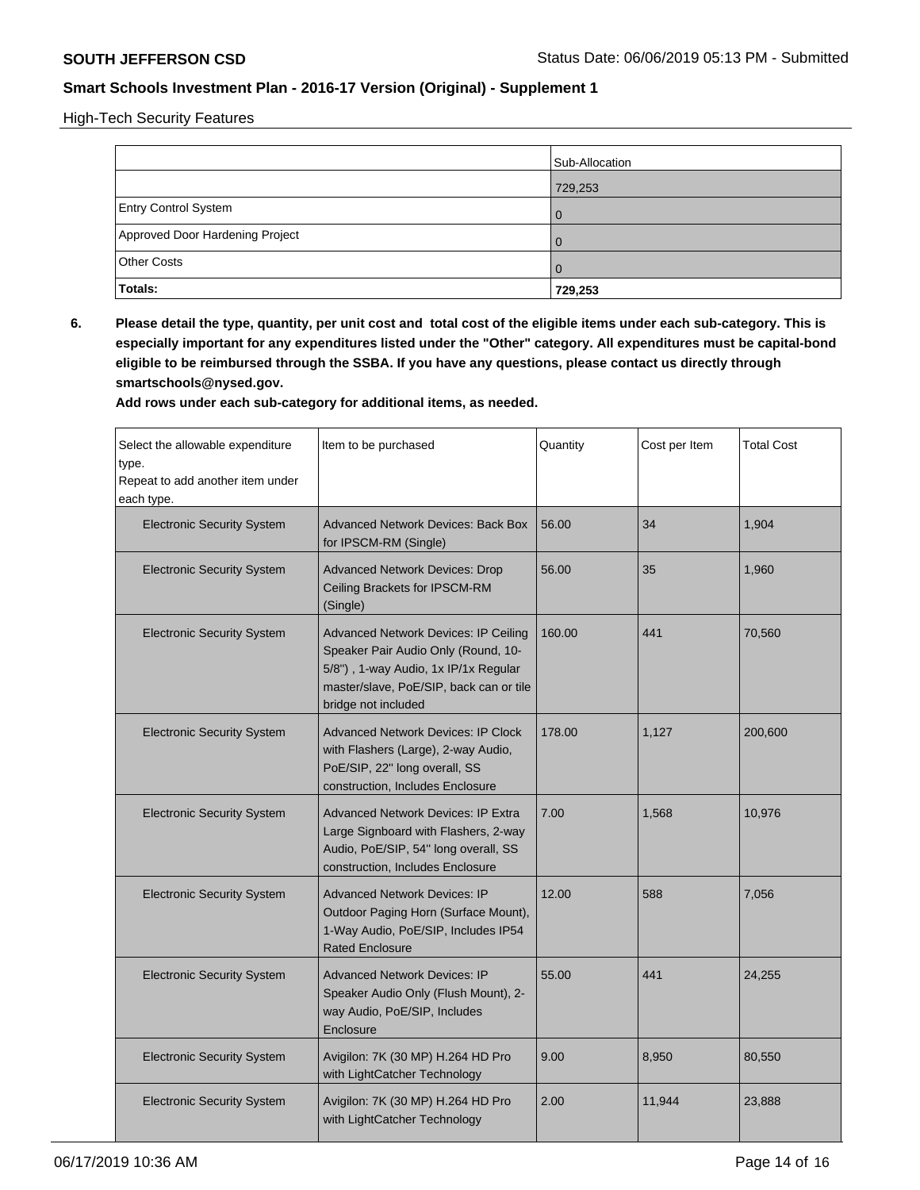High-Tech Security Features

|                                 | Sub-Allocation |
|---------------------------------|----------------|
|                                 | 729,253        |
| <b>Entry Control System</b>     | $\Omega$       |
| Approved Door Hardening Project | $\Omega$       |
| <b>Other Costs</b>              | $\Omega$       |
| <b>Totals:</b>                  | 729,253        |

**6. Please detail the type, quantity, per unit cost and total cost of the eligible items under each sub-category. This is especially important for any expenditures listed under the "Other" category. All expenditures must be capital-bond eligible to be reimbursed through the SSBA. If you have any questions, please contact us directly through smartschools@nysed.gov.**

| Select the allowable expenditure<br>type.<br>Repeat to add another item under<br>each type. | Item to be purchased                                                                                                                                                                         | Quantity | Cost per Item | <b>Total Cost</b> |
|---------------------------------------------------------------------------------------------|----------------------------------------------------------------------------------------------------------------------------------------------------------------------------------------------|----------|---------------|-------------------|
| <b>Electronic Security System</b>                                                           | <b>Advanced Network Devices: Back Box</b><br>for IPSCM-RM (Single)                                                                                                                           | 56.00    | 34            | 1,904             |
| <b>Electronic Security System</b>                                                           | <b>Advanced Network Devices: Drop</b><br>Ceiling Brackets for IPSCM-RM<br>(Single)                                                                                                           | 56.00    | 35            | 1,960             |
| <b>Electronic Security System</b>                                                           | <b>Advanced Network Devices: IP Ceiling</b><br>Speaker Pair Audio Only (Round, 10-<br>5/8"), 1-way Audio, 1x IP/1x Regular<br>master/slave, PoE/SIP, back can or tile<br>bridge not included | 160.00   | 441           | 70,560            |
| <b>Electronic Security System</b>                                                           | <b>Advanced Network Devices: IP Clock</b><br>with Flashers (Large), 2-way Audio,<br>PoE/SIP, 22" long overall, SS<br>construction, Includes Enclosure                                        | 178.00   | 1,127         | 200,600           |
| <b>Electronic Security System</b>                                                           | <b>Advanced Network Devices: IP Extra</b><br>Large Signboard with Flashers, 2-way<br>Audio, PoE/SIP, 54" long overall, SS<br>construction, Includes Enclosure                                | 7.00     | 1,568         | 10,976            |
| <b>Electronic Security System</b>                                                           | <b>Advanced Network Devices: IP</b><br>Outdoor Paging Horn (Surface Mount),<br>1-Way Audio, PoE/SIP, Includes IP54<br><b>Rated Enclosure</b>                                                 | 12.00    | 588           | 7,056             |
| <b>Electronic Security System</b>                                                           | <b>Advanced Network Devices: IP</b><br>Speaker Audio Only (Flush Mount), 2-<br>way Audio, PoE/SIP, Includes<br>Enclosure                                                                     | 55.00    | 441           | 24,255            |
| <b>Electronic Security System</b>                                                           | Avigilon: 7K (30 MP) H.264 HD Pro<br>with LightCatcher Technology                                                                                                                            | 9.00     | 8,950         | 80,550            |
| <b>Electronic Security System</b>                                                           | Avigilon: 7K (30 MP) H.264 HD Pro<br>with LightCatcher Technology                                                                                                                            | 2.00     | 11,944        | 23,888            |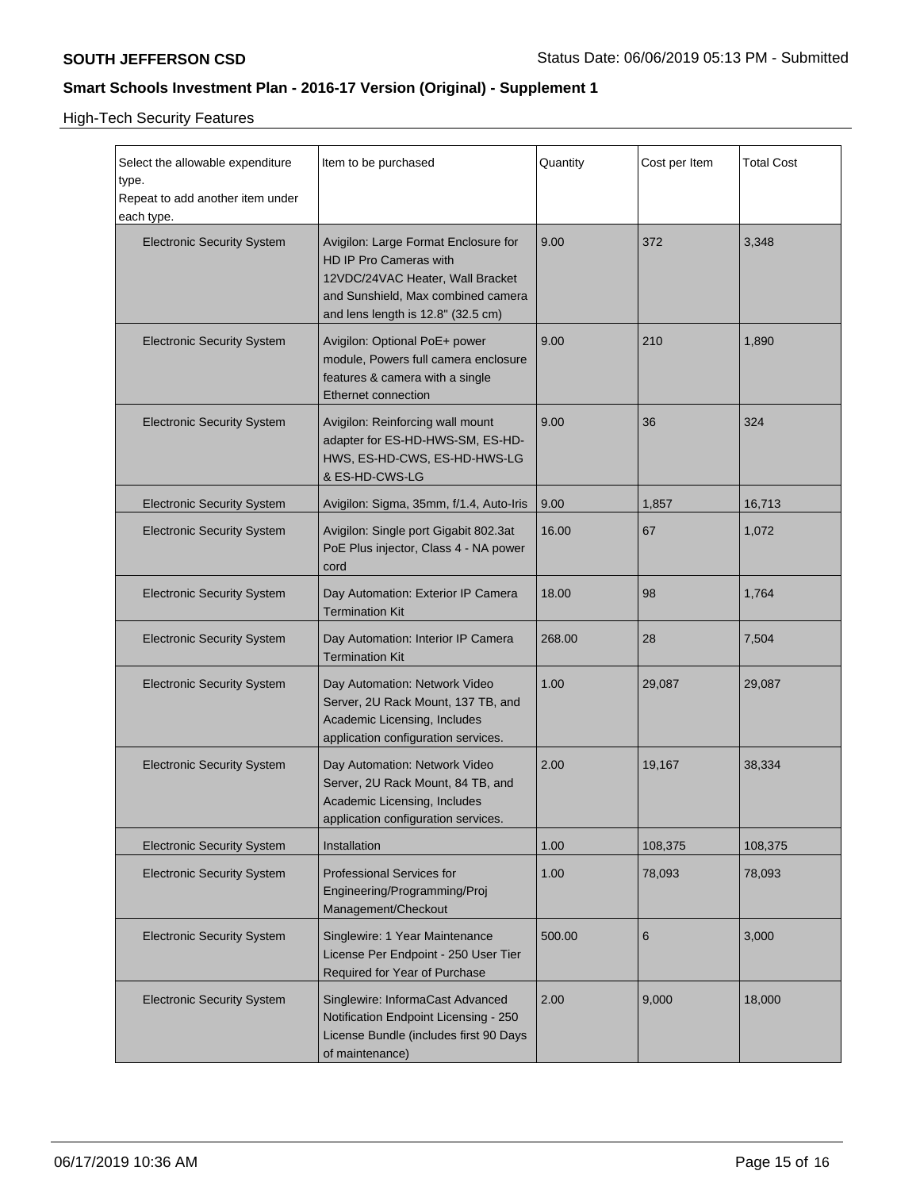High-Tech Security Features

| Select the allowable expenditure<br>type.<br>Repeat to add another item under<br>each type. | Item to be purchased                                                                                                                                                           | Quantity | Cost per Item | <b>Total Cost</b> |
|---------------------------------------------------------------------------------------------|--------------------------------------------------------------------------------------------------------------------------------------------------------------------------------|----------|---------------|-------------------|
| <b>Electronic Security System</b>                                                           | Avigilon: Large Format Enclosure for<br>HD IP Pro Cameras with<br>12VDC/24VAC Heater, Wall Bracket<br>and Sunshield, Max combined camera<br>and lens length is 12.8" (32.5 cm) | 9.00     | 372           | 3,348             |
| <b>Electronic Security System</b>                                                           | Avigilon: Optional PoE+ power<br>module, Powers full camera enclosure<br>features & camera with a single<br>Ethernet connection                                                | 9.00     | 210           | 1,890             |
| <b>Electronic Security System</b>                                                           | Avigilon: Reinforcing wall mount<br>adapter for ES-HD-HWS-SM, ES-HD-<br>HWS, ES-HD-CWS, ES-HD-HWS-LG<br>& ES-HD-CWS-LG                                                         | 9.00     | 36            | 324               |
| <b>Electronic Security System</b>                                                           | Avigilon: Sigma, 35mm, f/1.4, Auto-Iris                                                                                                                                        | 9.00     | 1,857         | 16,713            |
| <b>Electronic Security System</b>                                                           | Avigilon: Single port Gigabit 802.3at<br>PoE Plus injector, Class 4 - NA power<br>cord                                                                                         | 16.00    | 67            | 1,072             |
| <b>Electronic Security System</b>                                                           | Day Automation: Exterior IP Camera<br><b>Termination Kit</b>                                                                                                                   | 18.00    | 98            | 1,764             |
| <b>Electronic Security System</b>                                                           | Day Automation: Interior IP Camera<br><b>Termination Kit</b>                                                                                                                   | 268.00   | 28            | 7,504             |
| <b>Electronic Security System</b>                                                           | Day Automation: Network Video<br>Server, 2U Rack Mount, 137 TB, and<br>Academic Licensing, Includes<br>application configuration services.                                     | 1.00     | 29,087        | 29,087            |
| <b>Electronic Security System</b>                                                           | Day Automation: Network Video<br>Server, 2U Rack Mount, 84 TB, and<br>Academic Licensing, Includes<br>application configuration services.                                      | 2.00     | 19,167        | 38,334            |
| <b>Electronic Security System</b>                                                           | Installation                                                                                                                                                                   | 1.00     | 108,375       | 108,375           |
| <b>Electronic Security System</b>                                                           | <b>Professional Services for</b><br>Engineering/Programming/Proj<br>Management/Checkout                                                                                        | 1.00     | 78,093        | 78,093            |
| <b>Electronic Security System</b>                                                           | Singlewire: 1 Year Maintenance<br>License Per Endpoint - 250 User Tier<br>Required for Year of Purchase                                                                        | 500.00   | 6             | 3,000             |
| <b>Electronic Security System</b>                                                           | Singlewire: InformaCast Advanced<br>Notification Endpoint Licensing - 250<br>License Bundle (includes first 90 Days<br>of maintenance)                                         | 2.00     | 9.000         | 18,000            |